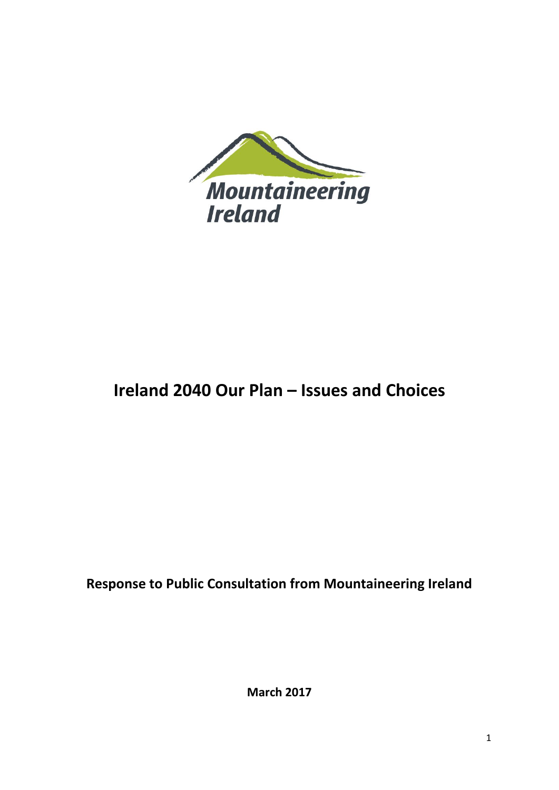

# **Ireland 2040 Our Plan – Issues and Choices**

**Response to Public Consultation from Mountaineering Ireland**

**March 2017**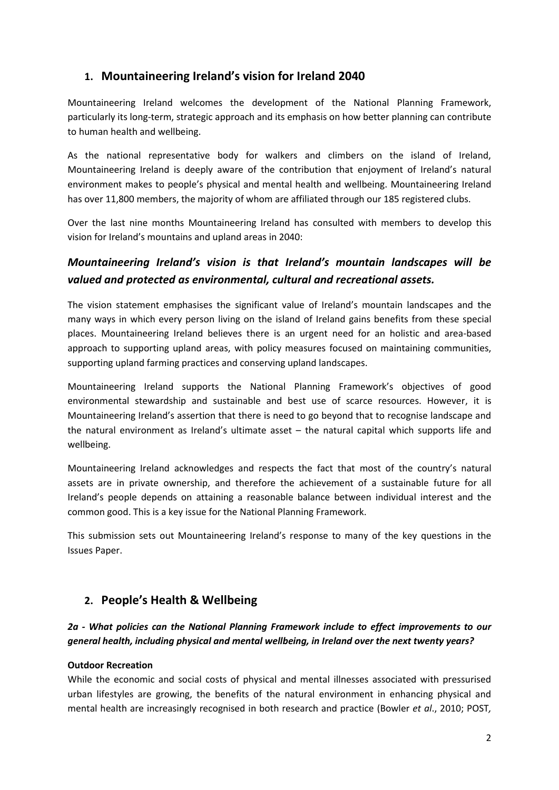# **1. Mountaineering Ireland's vision for Ireland 2040**

Mountaineering Ireland welcomes the development of the National Planning Framework, particularly its long-term, strategic approach and its emphasis on how better planning can contribute to human health and wellbeing.

As the national representative body for walkers and climbers on the island of Ireland, Mountaineering Ireland is deeply aware of the contribution that enjoyment of Ireland's natural environment makes to people's physical and mental health and wellbeing. Mountaineering Ireland has over 11,800 members, the majority of whom are affiliated through our 185 registered clubs.

Over the last nine months Mountaineering Ireland has consulted with members to develop this vision for Ireland's mountains and upland areas in 2040:

# *Mountaineering Ireland's vision is that Ireland's mountain landscapes will be valued and protected as environmental, cultural and recreational assets.*

The vision statement emphasises the significant value of Ireland's mountain landscapes and the many ways in which every person living on the island of Ireland gains benefits from these special places. Mountaineering Ireland believes there is an urgent need for an holistic and area-based approach to supporting upland areas, with policy measures focused on maintaining communities, supporting upland farming practices and conserving upland landscapes.

Mountaineering Ireland supports the National Planning Framework's objectives of good environmental stewardship and sustainable and best use of scarce resources. However, it is Mountaineering Ireland's assertion that there is need to go beyond that to recognise landscape and the natural environment as Ireland's ultimate asset – the natural capital which supports life and wellbeing.

Mountaineering Ireland acknowledges and respects the fact that most of the country's natural assets are in private ownership, and therefore the achievement of a sustainable future for all Ireland's people depends on attaining a reasonable balance between individual interest and the common good. This is a key issue for the National Planning Framework.

This submission sets out Mountaineering Ireland's response to many of the key questions in the Issues Paper.

# **2. People's Health & Wellbeing**

#### *2a - What policies can the National Planning Framework include to effect improvements to our general health, including physical and mental wellbeing, in Ireland over the next twenty years?*

#### **Outdoor Recreation**

While the economic and social costs of physical and mental illnesses associated with pressurised urban lifestyles are growing, the benefits of the natural environment in enhancing physical and mental health are increasingly recognised in both research and practice (Bowler *et al*., 2010; POST*,*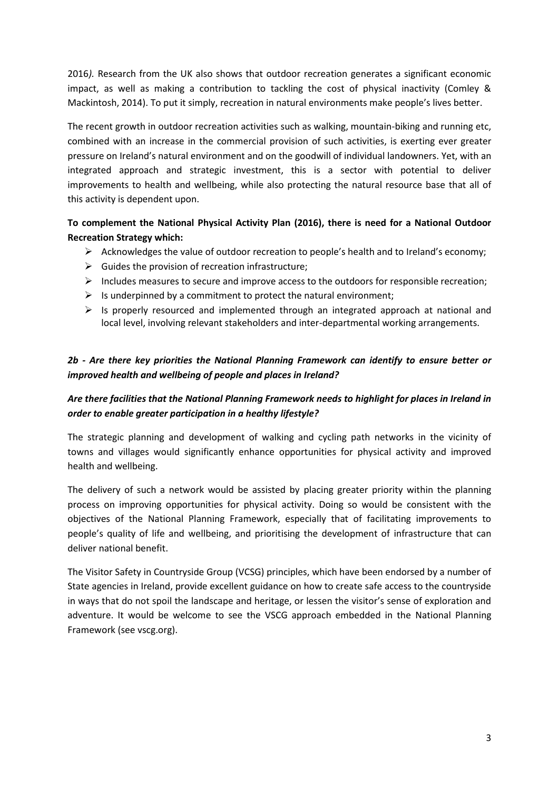2016*).* Research from the UK also shows that outdoor recreation generates a significant economic impact, as well as making a contribution to tackling the cost of physical inactivity (Comley & Mackintosh, 2014). To put it simply, recreation in natural environments make people's lives better.

The recent growth in outdoor recreation activities such as walking, mountain-biking and running etc, combined with an increase in the commercial provision of such activities, is exerting ever greater pressure on Ireland's natural environment and on the goodwill of individual landowners. Yet, with an integrated approach and strategic investment, this is a sector with potential to deliver improvements to health and wellbeing, while also protecting the natural resource base that all of this activity is dependent upon.

#### **To complement the National Physical Activity Plan (2016), there is need for a National Outdoor Recreation Strategy which:**

- $\triangleright$  Acknowledges the value of outdoor recreation to people's health and to Ireland's economy;
- $\triangleright$  Guides the provision of recreation infrastructure;
- $\triangleright$  Includes measures to secure and improve access to the outdoors for responsible recreation;
- $\triangleright$  Is underpinned by a commitment to protect the natural environment;
- $\triangleright$  Is properly resourced and implemented through an integrated approach at national and local level, involving relevant stakeholders and inter-departmental working arrangements.

#### *2b - Are there key priorities the National Planning Framework can identify to ensure better or improved health and wellbeing of people and places in Ireland?*

#### *Are there facilities that the National Planning Framework needs to highlight for places in Ireland in order to enable greater participation in a healthy lifestyle?*

The strategic planning and development of walking and cycling path networks in the vicinity of towns and villages would significantly enhance opportunities for physical activity and improved health and wellbeing.

The delivery of such a network would be assisted by placing greater priority within the planning process on improving opportunities for physical activity. Doing so would be consistent with the objectives of the National Planning Framework, especially that of facilitating improvements to people's quality of life and wellbeing, and prioritising the development of infrastructure that can deliver national benefit.

The Visitor Safety in Countryside Group (VCSG) principles, which have been endorsed by a number of State agencies in Ireland, provide excellent guidance on how to create safe access to the countryside in ways that do not spoil the landscape and heritage, or lessen the visitor's sense of exploration and adventure. It would be welcome to see the VSCG approach embedded in the National Planning Framework (see vscg.org).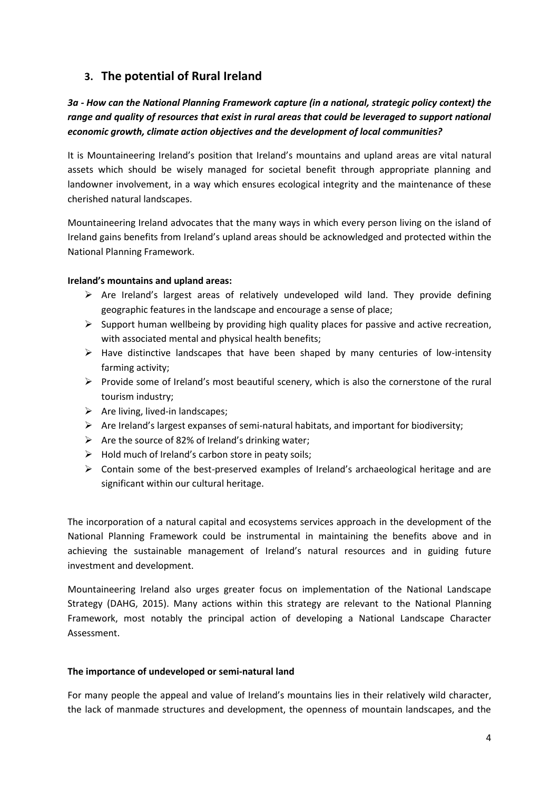# **3. The potential of Rural Ireland**

# *3a - How can the National Planning Framework capture (in a national, strategic policy context) the range and quality of resources that exist in rural areas that could be leveraged to support national economic growth, climate action objectives and the development of local communities?*

It is Mountaineering Ireland's position that Ireland's mountains and upland areas are vital natural assets which should be wisely managed for societal benefit through appropriate planning and landowner involvement, in a way which ensures ecological integrity and the maintenance of these cherished natural landscapes.

Mountaineering Ireland advocates that the many ways in which every person living on the island of Ireland gains benefits from Ireland's upland areas should be acknowledged and protected within the National Planning Framework.

#### **Ireland's mountains and upland areas:**

- $\triangleright$  Are Ireland's largest areas of relatively undeveloped wild land. They provide defining geographic features in the landscape and encourage a sense of place;
- $\triangleright$  Support human wellbeing by providing high quality places for passive and active recreation, with associated mental and physical health benefits;
- $\triangleright$  Have distinctive landscapes that have been shaped by many centuries of low-intensity farming activity;
- $\triangleright$  Provide some of Ireland's most beautiful scenery, which is also the cornerstone of the rural tourism industry;
- $\triangleright$  Are living, lived-in landscapes;
- $\triangleright$  Are Ireland's largest expanses of semi-natural habitats, and important for biodiversity;
- $\triangleright$  Are the source of 82% of Ireland's drinking water;
- $\triangleright$  Hold much of Ireland's carbon store in peaty soils;
- $\triangleright$  Contain some of the best-preserved examples of Ireland's archaeological heritage and are significant within our cultural heritage.

The incorporation of a natural capital and ecosystems services approach in the development of the National Planning Framework could be instrumental in maintaining the benefits above and in achieving the sustainable management of Ireland's natural resources and in guiding future investment and development.

Mountaineering Ireland also urges greater focus on implementation of the National Landscape Strategy (DAHG, 2015). Many actions within this strategy are relevant to the National Planning Framework, most notably the principal action of developing a National Landscape Character Assessment.

#### **The importance of undeveloped or semi-natural land**

For many people the appeal and value of Ireland's mountains lies in their relatively wild character, the lack of manmade structures and development, the openness of mountain landscapes, and the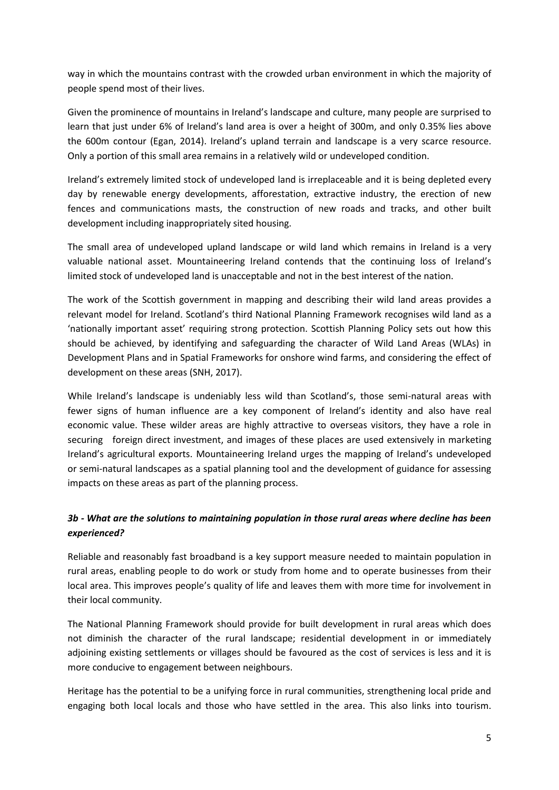way in which the mountains contrast with the crowded urban environment in which the majority of people spend most of their lives.

Given the prominence of mountains in Ireland's landscape and culture, many people are surprised to learn that just under 6% of Ireland's land area is over a height of 300m, and only 0.35% lies above the 600m contour (Egan, 2014). Ireland's upland terrain and landscape is a very scarce resource. Only a portion of this small area remains in a relatively wild or undeveloped condition.

Ireland's extremely limited stock of undeveloped land is irreplaceable and it is being depleted every day by renewable energy developments, afforestation, extractive industry, the erection of new fences and communications masts, the construction of new roads and tracks, and other built development including inappropriately sited housing.

The small area of undeveloped upland landscape or wild land which remains in Ireland is a very valuable national asset. Mountaineering Ireland contends that the continuing loss of Ireland's limited stock of undeveloped land is unacceptable and not in the best interest of the nation.

The work of the Scottish government in mapping and describing their wild land areas provides a relevant model for Ireland. Scotland's third National Planning Framework recognises wild land as a 'nationally important asset' requiring strong protection. Scottish Planning Policy sets out how this should be achieved, by identifying and safeguarding the character of Wild Land Areas (WLAs) in Development Plans and in Spatial Frameworks for onshore wind farms, and considering the effect of development on these areas (SNH, 2017).

While Ireland's landscape is undeniably less wild than Scotland's, those semi-natural areas with fewer signs of human influence are a key component of Ireland's identity and also have real economic value. These wilder areas are highly attractive to overseas visitors, they have a role in securing foreign direct investment, and images of these places are used extensively in marketing Ireland's agricultural exports. Mountaineering Ireland urges the mapping of Ireland's undeveloped or semi-natural landscapes as a spatial planning tool and the development of guidance for assessing impacts on these areas as part of the planning process.

## *3b - What are the solutions to maintaining population in those rural areas where decline has been experienced?*

Reliable and reasonably fast broadband is a key support measure needed to maintain population in rural areas, enabling people to do work or study from home and to operate businesses from their local area. This improves people's quality of life and leaves them with more time for involvement in their local community.

The National Planning Framework should provide for built development in rural areas which does not diminish the character of the rural landscape; residential development in or immediately adjoining existing settlements or villages should be favoured as the cost of services is less and it is more conducive to engagement between neighbours.

Heritage has the potential to be a unifying force in rural communities, strengthening local pride and engaging both local locals and those who have settled in the area. This also links into tourism.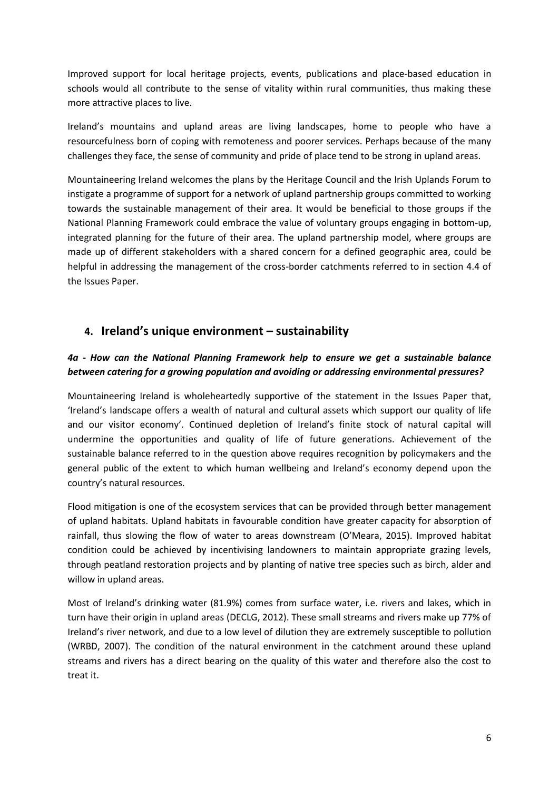Improved support for local heritage projects, events, publications and place-based education in schools would all contribute to the sense of vitality within rural communities, thus making these more attractive places to live.

Ireland's mountains and upland areas are living landscapes, home to people who have a resourcefulness born of coping with remoteness and poorer services. Perhaps because of the many challenges they face, the sense of community and pride of place tend to be strong in upland areas.

Mountaineering Ireland welcomes the plans by the Heritage Council and the Irish Uplands Forum to instigate a programme of support for a network of upland partnership groups committed to working towards the sustainable management of their area. It would be beneficial to those groups if the National Planning Framework could embrace the value of voluntary groups engaging in bottom-up, integrated planning for the future of their area. The upland partnership model, where groups are made up of different stakeholders with a shared concern for a defined geographic area, could be helpful in addressing the management of the cross-border catchments referred to in section 4.4 of the Issues Paper.

## **4. Ireland's unique environment – sustainability**

#### *4a - How can the National Planning Framework help to ensure we get a sustainable balance between catering for a growing population and avoiding or addressing environmental pressures?*

Mountaineering Ireland is wholeheartedly supportive of the statement in the Issues Paper that, 'Ireland's landscape offers a wealth of natural and cultural assets which support our quality of life and our visitor economy'. Continued depletion of Ireland's finite stock of natural capital will undermine the opportunities and quality of life of future generations. Achievement of the sustainable balance referred to in the question above requires recognition by policymakers and the general public of the extent to which human wellbeing and Ireland's economy depend upon the country's natural resources.

Flood mitigation is one of the ecosystem services that can be provided through better management of upland habitats. Upland habitats in favourable condition have greater capacity for absorption of rainfall, thus slowing the flow of water to areas downstream (O'Meara, 2015). Improved habitat condition could be achieved by incentivising landowners to maintain appropriate grazing levels, through peatland restoration projects and by planting of native tree species such as birch, alder and willow in upland areas.

Most of Ireland's drinking water (81.9%) comes from surface water, i.e. rivers and lakes, which in turn have their origin in upland areas (DECLG, 2012). These small streams and rivers make up 77% of Ireland's river network, and due to a low level of dilution they are extremely susceptible to pollution (WRBD, 2007). The condition of the natural environment in the catchment around these upland streams and rivers has a direct bearing on the quality of this water and therefore also the cost to treat it.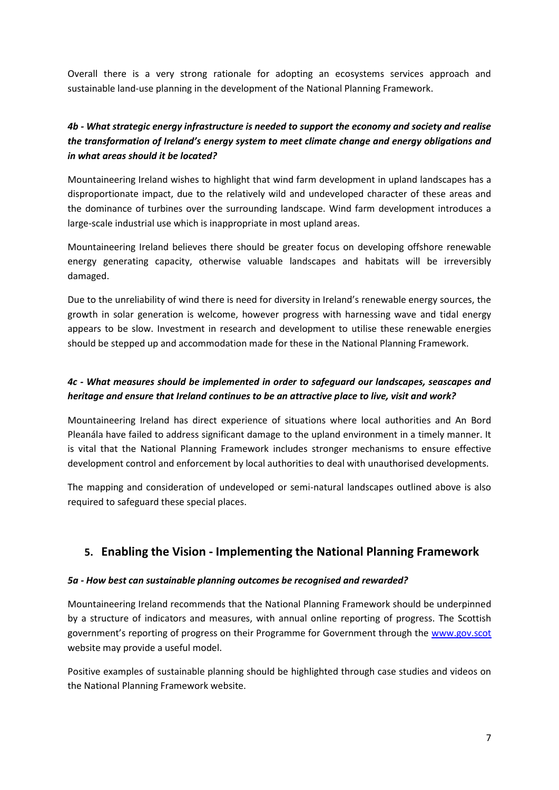Overall there is a very strong rationale for adopting an ecosystems services approach and sustainable land-use planning in the development of the National Planning Framework.

## *4b - What strategic energy infrastructure is needed to support the economy and society and realise the transformation of Ireland's energy system to meet climate change and energy obligations and in what areas should it be located?*

Mountaineering Ireland wishes to highlight that wind farm development in upland landscapes has a disproportionate impact, due to the relatively wild and undeveloped character of these areas and the dominance of turbines over the surrounding landscape. Wind farm development introduces a large-scale industrial use which is inappropriate in most upland areas.

Mountaineering Ireland believes there should be greater focus on developing offshore renewable energy generating capacity, otherwise valuable landscapes and habitats will be irreversibly damaged.

Due to the unreliability of wind there is need for diversity in Ireland's renewable energy sources, the growth in solar generation is welcome, however progress with harnessing wave and tidal energy appears to be slow. Investment in research and development to utilise these renewable energies should be stepped up and accommodation made for these in the National Planning Framework.

#### *4c - What measures should be implemented in order to safeguard our landscapes, seascapes and heritage and ensure that Ireland continues to be an attractive place to live, visit and work?*

Mountaineering Ireland has direct experience of situations where local authorities and An Bord Pleanála have failed to address significant damage to the upland environment in a timely manner. It is vital that the National Planning Framework includes stronger mechanisms to ensure effective development control and enforcement by local authorities to deal with unauthorised developments.

The mapping and consideration of undeveloped or semi-natural landscapes outlined above is also required to safeguard these special places.

# **5. Enabling the Vision - Implementing the National Planning Framework**

#### *5a - How best can sustainable planning outcomes be recognised and rewarded?*

Mountaineering Ireland recommends that the National Planning Framework should be underpinned by a structure of indicators and measures, with annual online reporting of progress. The Scottish government's reporting of progress on their Programme for Government through the [www.gov.scot](http://www.gov.scot/) website may provide a useful model.

Positive examples of sustainable planning should be highlighted through case studies and videos on the National Planning Framework website.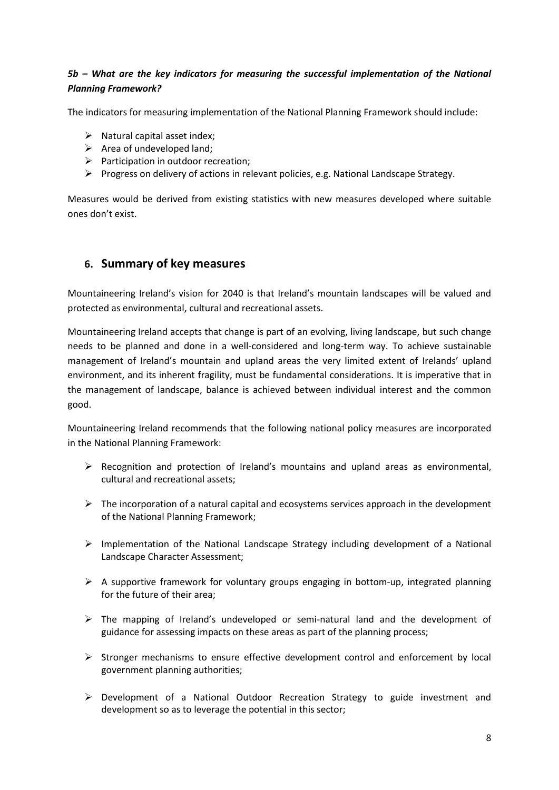#### *5b – What are the key indicators for measuring the successful implementation of the National Planning Framework?*

The indicators for measuring implementation of the National Planning Framework should include:

- $\triangleright$  Natural capital asset index;
- $\triangleright$  Area of undeveloped land;
- $\triangleright$  Participation in outdoor recreation;
- Progress on delivery of actions in relevant policies, e.g. National Landscape Strategy.

Measures would be derived from existing statistics with new measures developed where suitable ones don't exist.

## **6. Summary of key measures**

Mountaineering Ireland's vision for 2040 is that Ireland's mountain landscapes will be valued and protected as environmental, cultural and recreational assets.

Mountaineering Ireland accepts that change is part of an evolving, living landscape, but such change needs to be planned and done in a well-considered and long-term way. To achieve sustainable management of Ireland's mountain and upland areas the very limited extent of Irelands' upland environment, and its inherent fragility, must be fundamental considerations. It is imperative that in the management of landscape, balance is achieved between individual interest and the common good.

Mountaineering Ireland recommends that the following national policy measures are incorporated in the National Planning Framework:

- Recognition and protection of Ireland's mountains and upland areas as environmental, cultural and recreational assets;
- $\triangleright$  The incorporation of a natural capital and ecosystems services approach in the development of the National Planning Framework;
- $\triangleright$  Implementation of the National Landscape Strategy including development of a National Landscape Character Assessment;
- $\triangleright$  A supportive framework for voluntary groups engaging in bottom-up, integrated planning for the future of their area;
- $\triangleright$  The mapping of Ireland's undeveloped or semi-natural land and the development of guidance for assessing impacts on these areas as part of the planning process;
- $\triangleright$  Stronger mechanisms to ensure effective development control and enforcement by local government planning authorities;
- $\triangleright$  Development of a National Outdoor Recreation Strategy to guide investment and development so as to leverage the potential in this sector;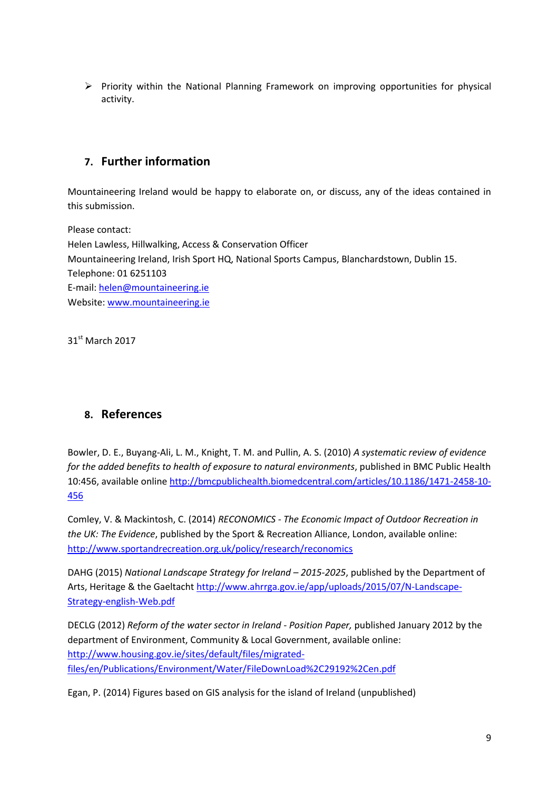$\triangleright$  Priority within the National Planning Framework on improving opportunities for physical activity.

# **7. Further information**

Mountaineering Ireland would be happy to elaborate on, or discuss, any of the ideas contained in this submission.

Please contact: Helen Lawless, Hillwalking, Access & Conservation Officer Mountaineering Ireland, Irish Sport HQ, National Sports Campus, Blanchardstown, Dublin 15. Telephone: 01 6251103 E-mail: [helen@mountaineering.ie](mailto:helen@mountaineering.ie) Website[: www.mountaineering.ie](http://www.mountaineering.ie/)

31<sup>st</sup> March 2017

# **8. References**

Bowler, D. E., Buyang-Ali, L. M., Knight, T. M. and Pullin, A. S. (2010) *A systematic review of evidence for the added benefits to health of exposure to natural environments*, published in BMC Public Health 10:456, available onlin[e http://bmcpublichealth.biomedcentral.com/articles/10.1186/1471-2458-10-](http://bmcpublichealth.biomedcentral.com/articles/10.1186/1471-2458-10-456) [456](http://bmcpublichealth.biomedcentral.com/articles/10.1186/1471-2458-10-456)

Comley, V. & Mackintosh, C. (2014) *RECONOMICS - The Economic Impact of Outdoor Recreation in the UK: The Evidence*, published by the Sport & Recreation Alliance, London, available online: <http://www.sportandrecreation.org.uk/policy/research/reconomics>

DAHG (2015) *National Landscape Strategy for Ireland – 2015-2025*, published by the Department of Arts, Heritage & the Gaeltacht [http://www.ahrrga.gov.ie/app/uploads/2015/07/N-Landscape-](http://www.ahrrga.gov.ie/app/uploads/2015/07/N-Landscape-Strategy-english-Web.pdf)[Strategy-english-Web.pdf](http://www.ahrrga.gov.ie/app/uploads/2015/07/N-Landscape-Strategy-english-Web.pdf)

DECLG (2012) *Reform of the water sector in Ireland - Position Paper,* published January 2012 by the department of Environment, Community & Local Government, available online: [http://www.housing.gov.ie/sites/default/files/migrated](http://www.housing.gov.ie/sites/default/files/migrated-files/en/Publications/Environment/Water/FileDownLoad%2C29192%2Cen.pdf)[files/en/Publications/Environment/Water/FileDownLoad%2C29192%2Cen.pdf](http://www.housing.gov.ie/sites/default/files/migrated-files/en/Publications/Environment/Water/FileDownLoad%2C29192%2Cen.pdf)

Egan, P. (2014) Figures based on GIS analysis for the island of Ireland (unpublished)